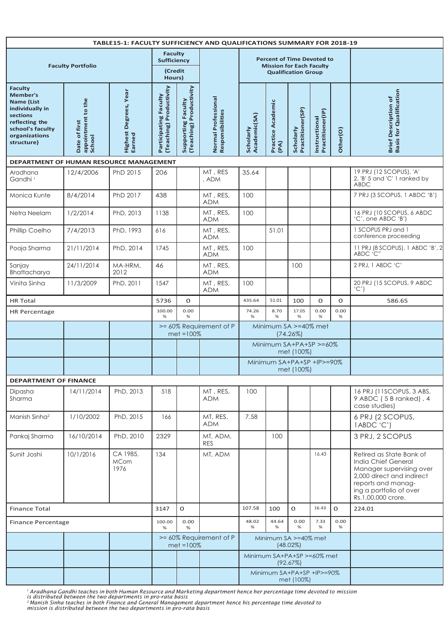| <b>TABLE15-1: FACULTY SUFFICIENCY AND QUALIFICATIONS SUMMARY FOR 2018-19</b>                                                                               |                                               |                                 |                                                            |                                               |                                         |                                         |                                                                      |                               |                                   |              |                                                                                                                                                                                 |
|------------------------------------------------------------------------------------------------------------------------------------------------------------|-----------------------------------------------|---------------------------------|------------------------------------------------------------|-----------------------------------------------|-----------------------------------------|-----------------------------------------|----------------------------------------------------------------------|-------------------------------|-----------------------------------|--------------|---------------------------------------------------------------------------------------------------------------------------------------------------------------------------------|
| <b>Faculty Portfolio</b>                                                                                                                                   |                                               |                                 | <b>Faculty</b><br><b>Sufficiency</b><br>(Credit            |                                               |                                         |                                         | <b>Percent of Time Devoted to</b><br><b>Mission for Each Faculty</b> | <b>Qualification Group</b>    |                                   |              |                                                                                                                                                                                 |
| <b>Faculty</b><br><b>Member's</b><br><b>Name (List</b><br>individually in<br>sections<br>reflecting the<br>school's faculty<br>organizations<br>structure) | appointment to the<br>School<br>Date of first | Highest Degrees, Year<br>Earned | Hours)<br>(Teaching) Productivity<br>Participating Faculty | Supporting Faculty<br>(Teaching) Productivity | Normal Professional<br>Responsibilities | Academic(SA)<br>Scholarly               | Practice Academic<br>(PA)                                            | Practitioner(SP)<br>Scholarly | Practitioner(IP)<br>Instructional | Other(O)     | <b>Basis for Qualification</b><br><b>Brief Description of</b>                                                                                                                   |
| DEPARTMENT OF HUMAN RESOURCE MANAGEMENT                                                                                                                    |                                               |                                 |                                                            |                                               |                                         |                                         |                                                                      |                               |                                   |              |                                                                                                                                                                                 |
| Aradhana<br>Gandhi <sup>1</sup>                                                                                                                            | 12/4/2006                                     | PhD 2015                        | 206                                                        |                                               | MT, RES<br>, ADM                        | 35.64                                   |                                                                      |                               |                                   |              | 19 PRJ (12 SCOPUS), 'A'<br>2, 'B' 5 and 'C' 1 ranked by<br>ABDC                                                                                                                 |
| Monica Kunte                                                                                                                                               | 8/4/2014                                      | PhD 2017                        | 438                                                        |                                               | MT, RES,<br><b>ADM</b>                  | 100                                     |                                                                      |                               |                                   |              | 7 PRJ (3 SCOPUS, 1 ABDC 'B')                                                                                                                                                    |
| Netra Neelam                                                                                                                                               | 1/2/2014                                      | PhD, 2013                       | 1138                                                       |                                               | MT, RES,<br><b>ADM</b>                  | 100                                     |                                                                      |                               |                                   |              | 16 PRJ (10 SCOPUS, 6 ABDC<br>'C', one ABDC 'B')                                                                                                                                 |
| Phillip Coelho                                                                                                                                             | 7/4/2013                                      | PhD, 1993                       | 616                                                        |                                               | MT, RES,<br><b>ADM</b>                  |                                         | 51.01                                                                |                               |                                   |              | 1 SCOPUS PRJ and 1<br>conference proceeding                                                                                                                                     |
| Pooja Sharma                                                                                                                                               | 21/11/2014                                    | PhD, 2014                       | 1745                                                       |                                               | MT, RES,<br><b>ADM</b>                  | 100                                     |                                                                      |                               |                                   |              | 11 PRJ (8 SCOPUS), 1 ABDC 'B', 2<br>ABDC 'C''                                                                                                                                   |
| Sanjay<br>Bhattacharya                                                                                                                                     | 24/11/2014                                    | MA-HRM,<br>2012                 | 46                                                         |                                               | MT, RES,<br><b>ADM</b>                  |                                         |                                                                      | 100                           |                                   |              | 2 PRJ, 1 ABDC 'C'                                                                                                                                                               |
| Vinita Sinha                                                                                                                                               | 11/3/2009                                     | PhD, 2011                       | 1547                                                       |                                               | MT, RES,<br><b>ADM</b>                  | 100                                     |                                                                      |                               |                                   |              | 20 PRJ (15 SCOPUS, 9 ABDC<br>(C')                                                                                                                                               |
| <b>HR Total</b>                                                                                                                                            |                                               |                                 | 5736                                                       | 0                                             |                                         | 435.64                                  | 51.01                                                                | 100                           | O                                 | $\mathbf{O}$ | 586.65                                                                                                                                                                          |
| <b>HR Percentage</b>                                                                                                                                       |                                               | 100.00<br>%                     | 0.00<br>%                                                  |                                               | 74.26<br>%                              | 8.70<br>%                               | 17.05<br>%                                                           | 0.00<br>%                     | 0.00<br>%                         |              |                                                                                                                                                                                 |
|                                                                                                                                                            |                                               |                                 |                                                            | $met = 100%$                                  | >= 60% Requirement of P                 | Minimum SA >=40% met<br>$(74.26\%)$     |                                                                      |                               |                                   |              |                                                                                                                                                                                 |
|                                                                                                                                                            |                                               |                                 |                                                            |                                               |                                         | Minimum SA+PA+SP >=60%<br>met (100%)    |                                                                      |                               |                                   |              |                                                                                                                                                                                 |
|                                                                                                                                                            |                                               |                                 |                                                            |                                               |                                         | Minimum SA+PA+SP +IP>=90%<br>met (100%) |                                                                      |                               |                                   |              |                                                                                                                                                                                 |
| <b>DEPARTMENT OF FINANCE</b>                                                                                                                               |                                               |                                 |                                                            |                                               |                                         |                                         |                                                                      |                               |                                   |              |                                                                                                                                                                                 |
| Dipasha<br>Sharma                                                                                                                                          | 14/11/2014                                    | PhD, 2013                       | 518                                                        |                                               | MT, RES,<br><b>ADM</b>                  | 100                                     |                                                                      |                               |                                   |              | 16 PRJ (11SCOPUS, 3 ABS,<br>9 ABDC (5 B ranked), 4<br>case studies)                                                                                                             |
| Manish Sinha <sup>2</sup>                                                                                                                                  | 1/10/2002                                     | PhD, 2015                       | 166                                                        |                                               | MT, RES,<br><b>ADM</b>                  | 7.58                                    |                                                                      |                               |                                   |              | 6 PRJ (2 SCOPUS,<br>1ABDC 'C')                                                                                                                                                  |
| Pankaj Sharma                                                                                                                                              | 16/10/2014                                    | PhD, 2010                       | 2329                                                       |                                               | MT, ADM,<br><b>RES</b>                  |                                         | 100                                                                  |                               |                                   |              | 3 PRJ, 2 SCOPUS                                                                                                                                                                 |
| Sunit Joshi                                                                                                                                                | 10/1/2016                                     | CA 1985,<br><b>MCom</b><br>1976 | 134                                                        |                                               | MT, ADM                                 |                                         |                                                                      |                               | 16.43                             |              | Retired as State Bank of<br>India Chief General<br>Manager supervising over<br>2,000 direct and indirect<br>reports and manag-<br>ing a portfolio of over<br>Rs.1,00,000 crore. |
| <b>Finance Total</b>                                                                                                                                       |                                               |                                 | 3147                                                       | $\mathbf O$                                   |                                         | 107.58                                  | 100                                                                  | $\mathbf{O}$                  | 16.43                             | $\mathbf{O}$ | 224.01                                                                                                                                                                          |
| <b>Finance Percentage</b>                                                                                                                                  |                                               |                                 | 100.00<br>%                                                | 0.00<br>%                                     |                                         | 48.02<br>%                              | 44.64<br>%                                                           | 0.00<br>%                     | 7.33<br>%                         | 0.00<br>%    |                                                                                                                                                                                 |
|                                                                                                                                                            |                                               |                                 |                                                            | $met = 100%$                                  | >= 60% Requirement of P                 |                                         | Minimum SA >=40% met                                                 | $(48.02\%)$                   |                                   |              |                                                                                                                                                                                 |
|                                                                                                                                                            |                                               |                                 |                                                            |                                               |                                         |                                         | Minimum SA+PA+SP >=60% met                                           | (92.67%)                      |                                   |              |                                                                                                                                                                                 |
|                                                                                                                                                            |                                               |                                 |                                                            |                                               |                                         |                                         | Minimum SA+PA+SP +IP>=90%                                            | met (100%)                    |                                   |              |                                                                                                                                                                                 |

' Aradhana Gandhi teaches in both Human Resource and Marketing department hence her percentage time devoted to mission<br>is distributed between the two departments in pro-rata basis<br>? Manish Sinha teaches in both Finance and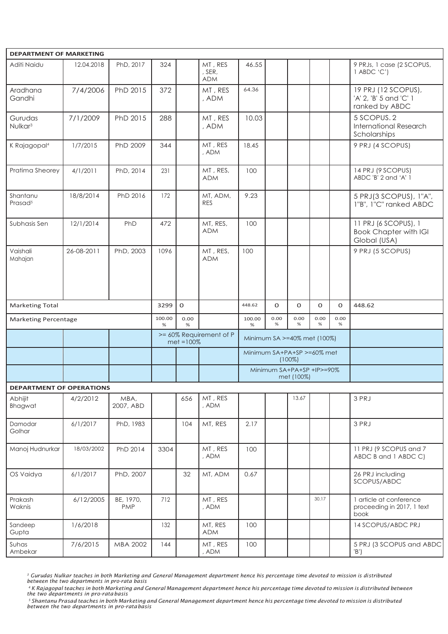| <b>DEPARTMENT OF MARKETING</b>  |            |                         |             |              |                                 |                                         |              |              |              |           |                                                                      |
|---------------------------------|------------|-------------------------|-------------|--------------|---------------------------------|-----------------------------------------|--------------|--------------|--------------|-----------|----------------------------------------------------------------------|
| Aditi Naidu                     | 12.04.2018 | PhD, 2017               | 324         |              | MT, RES<br>, SER,<br><b>ADM</b> | 46.55                                   |              |              |              |           | 9 PRJs, 1 case (2 SCOPUS,<br>1 ABDC 'C')                             |
| Aradhana<br>Gandhi              | 7/4/2006   | PhD 2015                | 372         |              | MT, RES<br>, ADM                | 64.36                                   |              |              |              |           | 19 PRJ (12 SCOPUS),<br>'A' 2, 'B' 5 and 'C' 1<br>ranked by ABDC      |
| Gurudas<br>Nulkar <sup>3</sup>  | 7/1/2009   | PhD 2015                | 288         |              | MT, RES<br>, ADM                | 10.03                                   |              |              |              |           | 5 SCOPUS.2<br><b>International Research</b><br>Scholarships          |
| K Rajagopal <sup>4</sup>        | 1/7/2015   | PhD 2009                | 344         |              | MT, RES<br>, ADM                | 18.45                                   |              |              |              |           | 9 PRJ (4 SCOPUS)                                                     |
| Pratima Sheorey                 | 4/1/2011   | PhD, 2014               | 231         |              | MT, RES,<br><b>ADM</b>          | 100                                     |              |              |              |           | 14 PRJ (9 SCOPUS)<br>ABDC 'B' 2 and 'A' 1                            |
| Shantanu<br>Prasad <sup>5</sup> | 18/8/2014  | PhD 2016                | 172         |              | MT, ADM,<br><b>RES</b>          | 9.23                                    |              |              |              |           | 5 PRJ(3 SCOPUS), 1"A",<br>1"B", 1"C" ranked ABDC                     |
| Subhasis Sen                    | 12/1/2014  | PhD                     | 472         |              | MT, RES,<br><b>ADM</b>          | 100                                     |              |              |              |           | 11 PRJ (6 SCOPUS), 1<br><b>Book Chapter with IGI</b><br>Global (USA) |
| Vaishali<br>Mahajan             | 26-08-2011 | PhD, 2003               | 1096        |              | MT, RES,<br><b>ADM</b>          | 100                                     |              |              |              |           | 9 PRJ (5 SCOPUS)                                                     |
|                                 |            |                         |             |              |                                 |                                         |              |              |              |           |                                                                      |
| <b>Marketing Total</b>          |            |                         | 3299        | $\mathbf{O}$ |                                 | 448.62                                  | $\mathbf{O}$ | $\mathbf{O}$ | $\mathbf{O}$ | $\Omega$  | 448.62                                                               |
| <b>Marketing Percentage</b>     |            |                         | 100.00<br>% | 0.00<br>%    |                                 | 100.00<br>%                             | 0.00<br>%    | 0.00<br>%    | 0.00<br>%    | 0.00<br>% |                                                                      |
|                                 |            |                         |             | $met = 100%$ | >= 60% Requirement of P         | Minimum SA >=40% met (100%)             |              |              |              |           |                                                                      |
|                                 |            |                         |             |              |                                 | Minimum SA+PA+SP >=60% met<br>$(100\%)$ |              |              |              |           |                                                                      |
|                                 |            |                         |             |              |                                 | Minimum SA+PA+SP +IP>=90%<br>met (100%) |              |              |              |           |                                                                      |
| <b>DEPARTMENT OF OPERATIONS</b> |            |                         |             |              |                                 |                                         |              |              |              |           |                                                                      |
| Abhijit<br>Bhagwat              | 4/2/2012   | MBA,<br>2007, ABD       |             | 656          | MT, RES<br>, ADM                |                                         |              | 13.67        |              |           | 3 PRJ                                                                |
| Damodar<br>Golhar               | 6/1/2017   | PhD, 1983               |             | 104          | MT, RES                         | 2.17                                    |              |              |              |           | 3 PRJ                                                                |
| Manoj Hudnurkar                 | 18/03/2002 | PhD 2014                | 3304        |              | MT, RES<br>, ADM                | 100                                     |              |              |              |           | 11 PRJ (9 SCOPUS and 7<br>ABDC B and 1 ABDC C)                       |
| OS Vaidya                       | 6/1/2017   | PhD, 2007               |             | 32           | MT, ADM                         | 0.67                                    |              |              |              |           | 26 PRJ including<br>SCOPUS/ABDC                                      |
| Prakash<br>Waknis               | 6/12/2005  | BE, 1970,<br><b>PMP</b> | 712         |              | MT, RES<br>, ADM                |                                         |              |              | 30.17        |           | 1 article at conference<br>proceeding in 2017, 1 text<br>book        |
| Sandeep<br>Gupta                | 1/6/2018   |                         | 132         |              | MT, RES<br><b>ADM</b>           | 100                                     |              |              |              |           | 14 SCOPUS/ABDC PRJ                                                   |
| Suhas<br>Ambekar                | 7/6/2015   | MBA 2002                | 144         |              | MT, RES<br>, ADM                | 100                                     |              |              |              |           | 5 PRJ (3 SCOPUS and ABDC<br>'B'                                      |

<sup>3</sup> Gurudas Nulkar teaches in both Marketing and General Management department hence his percentage time devoted to mission is distributed<br>between the two departments in pro-rata basis

4 K Rajagopal teaches in both Marketing and General Management department hence his percentage time devoted to mission is distributed between<br>the two departments in pro-rata basis

<sup>5</sup> Shantanu Prasad teaches in both Marketing and General Management department hence his percentage time devoted to mission is distributed<br>between the two departments in pro-ratabasis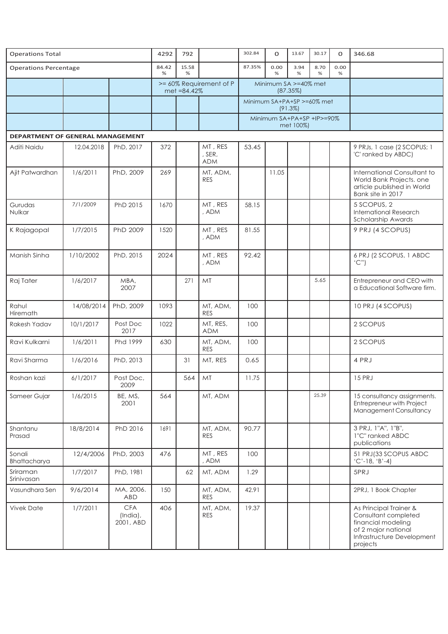| <b>Operations Total</b>                 |            | 4292                                | 792        |             | 302.84                          | $\mathbf 0$                            | 13.67     | 30.17     | $\mathbf{O}$ | 346.68    |                                                                                                                                       |
|-----------------------------------------|------------|-------------------------------------|------------|-------------|---------------------------------|----------------------------------------|-----------|-----------|--------------|-----------|---------------------------------------------------------------------------------------------------------------------------------------|
| <b>Operations Percentage</b>            |            |                                     | 84.42<br>% | 15.58<br>%  |                                 | 87.35%                                 | 0.00<br>% | 3.94<br>% | 8.70<br>%    | 0.00<br>% |                                                                                                                                       |
|                                         |            |                                     |            | met =84.42% | >= 60% Requirement of P         | Minimum SA >=40% met<br>(87.35%)       |           |           |              |           |                                                                                                                                       |
|                                         |            |                                     |            |             |                                 | Minimum SA+PA+SP >=60% met<br>(91.3%)  |           |           |              |           |                                                                                                                                       |
|                                         |            |                                     |            |             |                                 | Minimum SA+PA+SP +IP>=90%<br>met 100%) |           |           |              |           |                                                                                                                                       |
| <b>DEPARTMENT OF GENERAL MANAGEMENT</b> |            |                                     |            |             |                                 |                                        |           |           |              |           |                                                                                                                                       |
| Aditi Naidu                             | 12.04.2018 | PhD, 2017                           | 372        |             | MT, RES<br>, SER,<br><b>ADM</b> | 53.45                                  |           |           |              |           | 9 PRJs, 1 case (2 SCOPUS; 1<br>'C' ranked by ABDC)                                                                                    |
| Ajit Patwardhan                         | 1/6/2011   | PhD, 2009                           | 269        |             | MT, ADM,<br><b>RES</b>          |                                        | 11.05     |           |              |           | International Consultant to<br>World Bank Projects. one<br>article published in World<br>Bank site in 2017                            |
| Gurudas<br>Nulkar                       | 7/1/2009   | PhD 2015                            | 1670       |             | MT, RES<br>, ADM                | 58.15                                  |           |           |              |           | 5 SCOPUS, 2<br><b>International Research</b><br>Scholarship Awards                                                                    |
| K Rajagopal                             | 1/7/2015   | PhD 2009                            | 1520       |             | MT, RES<br>, ADM                | 81.55                                  |           |           |              |           | 9 PRJ (4 SCOPUS)                                                                                                                      |
| Manish Sinha                            | 1/10/2002  | PhD, 2015                           | 2024       |             | MT, RES<br>, ADM                | 92.42                                  |           |           |              |           | 6 PRJ (2 SCOPUS, 1 ABDC<br>(C")                                                                                                       |
| Raj Tater                               | 1/6/2017   | MBA,<br>2007                        |            | 271         | MT                              |                                        |           |           | 5.65         |           | Entrepreneur and CEO with<br>a Educational Software firm.                                                                             |
| Rahul<br>Hiremath                       | 14/08/2014 | PhD, 2009                           | 1093       |             | MT, ADM,<br><b>RES</b>          | 100                                    |           |           |              |           | 10 PRJ (4 SCOPUS)                                                                                                                     |
| Rakesh Yadav                            | 10/1/2017  | Post Doc<br>2017                    | 1022       |             | MT, RES,<br><b>ADM</b>          | 100                                    |           |           |              |           | 2 SCOPUS                                                                                                                              |
| Ravi Kulkarni                           | 1/6/2011   | Phd 1999                            | 630        |             | MT, ADM,<br><b>RES</b>          | 100                                    |           |           |              |           | 2 SCOPUS                                                                                                                              |
| Ravi Sharma                             | 1/6/2016   | PhD, 2013                           |            | 31          | MT, RES                         | 0.65                                   |           |           |              |           | 4 PRJ                                                                                                                                 |
| Roshan kazi                             | 6/1/2017   | Post Doc,<br>2009                   |            | 564         | MT                              | 11.75                                  |           |           |              |           | <b>15 PRJ</b>                                                                                                                         |
| Sameer Gujar                            | 1/6/2015   | BE, MS,<br>2001                     | 564        |             | MT, ADM                         |                                        |           |           | 25.39        |           | 15 consultancy assignments.<br>Entrepreneur with Project<br><b>Management Consultancy</b>                                             |
| Shantanu<br>Prasad                      | 18/8/2014  | PhD 2016                            | 1691       |             | MT, ADM,<br><b>RES</b>          | 90.77                                  |           |           |              |           | 3 PRJ, 1"A", 1"B",<br>1"C" ranked ABDC<br>publications                                                                                |
| Sonali<br>Bhattacharya                  | 12/4/2006  | PhD, 2003                           | 476        |             | MT, RES<br>, ADM                | 100                                    |           |           |              |           | 51 PRJ(33 SCOPUS ABDC<br>$(C'-18, 'B'-4)$                                                                                             |
| Sriraman<br>Srinivasan                  | 1/7/2017   | PhD, 1981                           |            | 62          | MT, ADM                         | 1.29                                   |           |           |              |           | 5PRJ                                                                                                                                  |
| Vasundhara Sen                          | 9/6/2014   | MA, 2006.<br><b>ABD</b>             | 150        |             | MT, ADM,<br><b>RES</b>          | 42.91                                  |           |           |              |           | 2PRJ, 1 Book Chapter                                                                                                                  |
| <b>Vivek Date</b>                       | 1/7/2011   | <b>CFA</b><br>(India),<br>2001, ABD | 406        |             | MT, ADM,<br><b>RES</b>          | 19.37                                  |           |           |              |           | As Principal Trainer &<br>Consultant completed<br>financial modeling<br>of 2 major national<br>Infrastructure Development<br>projects |